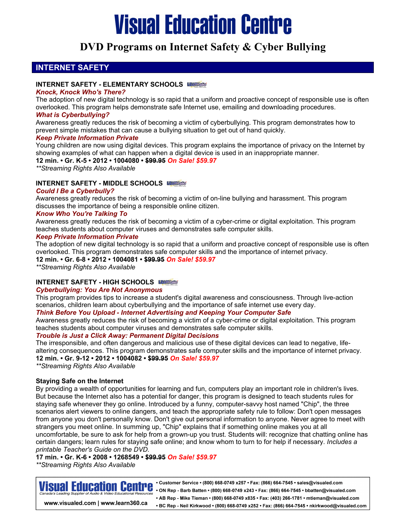## **DVD Programs on Internet Safety & Cyber Bullying**

## **INTERNET SAFETY**

## **INTERNET SAFETY - ELEMENTARY SCHOOLS**

#### *Knock, Knock Who's There?*

The adoption of new digital technology is so rapid that a uniform and proactive concept of responsible use is often overlooked. This program helps demonstrate safe Internet use, emailing and downloading procedures.

## *What is Cyberbullying?*

Awareness greatly reduces the risk of becoming a victim of cyberbullying. This program demonstrates how to prevent simple mistakes that can cause a bullying situation to get out of hand quickly.

## *Keep Private Information Private*

Young children are now using digital devices. This program explains the importance of privacy on the Internet by showing examples of what can happen when a digital device is used in an inappropriate manner.

**12 min. • Gr. K-5 • 2012 • 1004080 • \$99.95** *On Sale! \$59.97*

*\*\*Streaming Rights Also Available*

## **INTERNET SAFETY - MIDDLE SCHOOLS**

## *Could I Be a Cyberbully?*

Awareness greatly reduces the risk of becoming a victim of on-line bullying and harassment. This program discusses the importance of being a responsible online citizen.

## *Know Who You're Talking To*

Awareness greatly reduces the risk of becoming a victim of a cyber-crime or digital exploitation. This program teaches students about computer viruses and demonstrates safe computer skills.

## *Keep Private Information Private*

The adoption of new digital technology is so rapid that a uniform and proactive concept of responsible use is often overlooked. This program demonstrates safe computer skills and the importance of internet privacy.

**12 min. • Gr. 6-8 • 2012 • 1004081 • \$99.95** *On Sale! \$59.97*

*\*\*Streaming Rights Also Available*

## **INTERNET SAFETY - HIGH SCHOOLS**

## *Cyberbullying: You Are Not Anonymous*

This program provides tips to increase a student's digital awareness and consciousness. Through live-action scenarios, children learn about cyberbullying and the importance of safe internet use every day.

## *Think Before You Upload - Internet Advertising and Keeping Your Computer Safe*

Awareness greatly reduces the risk of becoming a victim of a cyber-crime or digital exploitation. This program teaches students about computer viruses and demonstrates safe computer skills.

## *Trouble is Just a Click Away: Permanent Digital Decisions*

The irresponsible, and often dangerous and malicious use of these digital devices can lead to negative, lifealtering consequences. This program demonstrates safe computer skills and the importance of internet privacy. **12 min. • Gr. 9-12 • 2012 • 1004082 • \$99.95** *On Sale! \$59.97*

*\*\*Streaming Rights Also Available*

## **Staying Safe on the Internet**

By providing a wealth of opportunities for learning and fun, computers play an important role in children's lives. But because the Internet also has a potential for danger, this program is designed to teach students rules for staying safe whenever they go online. Introduced by a funny, computer-savvy host named "Chip", the three scenarios alert viewers to online dangers, and teach the appropriate safety rule to follow: Don't open messages from anyone you don't personally know. Don't give out personal information to anyone. Never agree to meet with strangers you meet online. In summing up, "Chip" explains that if something online makes you at all uncomfortable, be sure to ask for help from a grown-up you trust. Students will: recognize that chatting online has certain dangers; learn rules for staying safe online; and know whom to turn to for help if necessary. *Includes a printable Teacher's Guide on the DVD.*

## **17 min. • Gr. K-6 • 2008 • 1268549 • \$99.95** *On Sale! \$59.97*

*\*\*Streaming Rights Also Available*



• Customer Service • (800) 668-0749 x257 • Fax: (866) 664-7545 • sales@visualed.com • ON Rep - Barb Batten • (800) 668-0749 x243 • Fax: (866) 664-7545 • bbatten@visualed.com • AB Rep - Mike Tieman • (800) 668-0749 x835 • Fax: (403) 266-1781 • mtieman@visualed.com • BC Rep - Neil Kirkwood • (800) 668-0749 x252 • Fax: (866) 664-7545 • nkirkwood@visualed.com

www.visualed.com | www.learn360.ca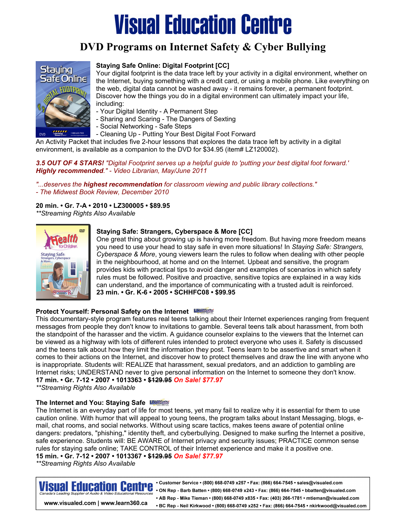## **DVD Programs on Internet Safety & Cyber Bullying**



## **Staying Safe Online: Digital Footprint [CC]**

Your digital footprint is the data trace left by your activity in a digital environment, whether on the Internet, buying something with a credit card, or using a mobile phone. Like everything on the web, digital data cannot be washed away - it remains forever, a permanent footprint. Discover how the things you do in a digital environment can ultimately impact your life, including:

- Your Digital Identity A Permanent Step
- Sharing and Scaring The Dangers of Sexting
- Social Networking Safe Steps
- Cleaning Up Putting Your Best Digital Foot Forward

An Activity Packet that includes five 2-hour lessons that explores the data trace left by activity in a digital environment, is available as a companion to the DVD for \$34.95 (item# LZ120002).

## *3.5 OUT OF 4 STARS! "Digital Footprint serves up a helpful guide to 'putting your best digital foot forward.' Highly recommended." - Video Librarian, May/June 2011*

*"...deserves the highest recommendation for classroom viewing and public library collections."* 

*- The Midwest Book Review, December 2010* 

## **20 min. • Gr. 7-A • 2010 • LZ300005 • \$89.95**

*\*\*Streaming Rights Also Available*



## **Staying Safe: Strangers, Cyberspace & More [CC]**

One great thing about growing up is having more freedom. But having more freedom means you need to use your head to stay safe in even more situations! In *Staying Safe: Strangers, Cyberspace & More*, young viewers learn the rules to follow when dealing with other people in the neighbourhood, at home and on the Internet. Upbeat and sensitive, the program provides kids with practical tips to avoid danger and examples of scenarios in which safety rules must be followed. Positive and proactive, sensitive topics are explained in a way kids can understand, and the importance of communicating with a trusted adult is reinforced. **23 min. • Gr. K-6 • 2005 • SCHHFC08 • \$99.95** 

## **Protect Yourself: Personal Safety on the Internet**

This documentary-style program features real teens talking about their Internet experiences ranging from frequent messages from people they don't know to invitations to gamble. Several teens talk about harassment, from both the standpoint of the harasser and the victim. A guidance counselor explains to the viewers that the Internet can be viewed as a highway with lots of different rules intended to protect everyone who uses it. Safety is discussed and the teens talk about how they limit the information they post. Teens learn to be assertive and smart when it comes to their actions on the Internet, and discover how to protect themselves and draw the line with anyone who is inappropriate. Students will: REALIZE that harassment, sexual predators, and an addiction to gambling are Internet risks; UNDERSTAND never to give personal information on the Internet to someone they don't know. **17 min. • Gr. 7-12 • 2007 • 1013363 • \$129.95** *On Sale! \$77.97*

*\*\*Streaming Rights Also Available*

## **The Internet and You: Staying Safe**

The Internet is an everyday part of life for most teens, yet many fail to realize why it is essential for them to use caution online. With humor that will appeal to young teens, the program talks about Instant Messaging, blogs, email, chat rooms, and social networks. Without using scare tactics, makes teens aware of potential online dangers: predators, "phishing," identity theft, and cyberbullying. Designed to make surfing the Internet a positive, safe experience. Students will: BE AWARE of Internet privacy and security issues; PRACTICE common sense rules for staying safe online; TAKE CONTROL of their Internet experience and make it a positive one. **15 min. • Gr. 7-12 • 2007 • 1013367 • \$129.95** *On Sale! \$77.97*

*\*\*Streaming Rights Also Available*



www.visualed.com | www.learn360.ca

• Customer Service • (800) 668-0749 x257 • Fax: (866) 664-7545 • sales@visualed.com . ON Rep - Barb Batten • (800) 668-0749 x243 • Fax: (866) 664-7545 • bbatten@visualed.com • AB Rep - Mike Tieman • (800) 668-0749 x835 • Fax: (403) 266-1781 • mtieman@visualed.com • BC Rep - Neil Kirkwood • (800) 668-0749 x252 • Fax: (866) 664-7545 • nkirkwood@visualed.com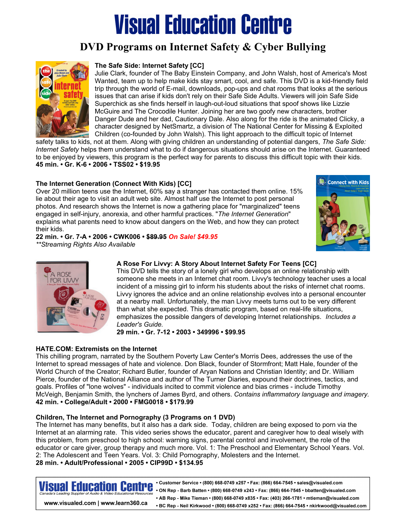## **DVD Programs on Internet Safety & Cyber Bullying**



## **The Safe Side: Internet Safety [CC]**

Julie Clark, founder of The Baby Einstein Company, and John Walsh, host of America's Most Wanted, team up to help make kids stay smart, cool, and safe. This DVD is a kid-friendly field trip through the world of E-mail, downloads, pop-ups and chat rooms that looks at the serious issues that can arise if kids don't rely on their Safe Side Adults. Viewers will join Safe Side Superchick as she finds herself in laugh-out-loud situations that spoof shows like Lizzie McGuire and The Crocodile Hunter. Joining her are two goofy new characters, brother Danger Dude and her dad, Cautionary Dale. Also along for the ride is the animated Clicky, a character designed by NetSmartz, a division of The National Center for Missing & Exploited Children (co-founded by John Walsh). This light approach to the difficult topic of Internet

safety talks to kids, not at them. Along with giving children an understanding of potential dangers, *The Safe Side: Internet Safety* helps them understand what to do if dangerous situations should arise on the Internet. Guaranteed to be enjoyed by viewers, this program is the perfect way for parents to discuss this difficult topic with their kids. **45 min. • Gr. K-6 • 2006 • TSS02 • \$19.95** 

## **The Internet Generation (Connect With Kids) [CC]**

Over 20 million teens use the Internet, 60% say a stranger has contacted them online. 15% lie about their age to visit an adult web site. Almost half use the Internet to post personal photos. And research shows the Internet is now a gathering place for "marginalized" teens engaged in self-injury, anorexia, and other harmful practices. "*The Internet Generation*" explains what parents need to know about dangers on the Web, and how they can protect their kids.

**22 min. • Gr. 7-A • 2006 • CWK006 • \$89.95** *On Sale! \$49.95*

*\*\*Streaming Rights Also Available*





## **A Rose For Livvy: A Story About Internet Safety For Teens [CC]**

This DVD tells the story of a lonely girl who develops an online relationship with someone she meets in an Internet chat room. Livvy's technology teacher uses a local incident of a missing girl to inform his students about the risks of internet chat rooms. Livvy ignores the advice and an online relationship evolves into a personal encounter at a nearby mall. Unfortunately, the man Livvy meets turns out to be very different than what she expected. This dramatic program, based on real-life situations, emphasizes the possible dangers of developing Internet relationships. *Includes a Leader's Guide.*

#### **29 min. • Gr. 7-12 • 2003 • 349996 • \$99.95**

## **HATE.COM: Extremists on the Internet**

This chilling program, narrated by the Southern Poverty Law Center's Morris Dees, addresses the use of the Internet to spread messages of hate and violence. Don Black, founder of Stormfront; Matt Hale, founder of the World Church of the Creator; Richard Butler, founder of Aryan Nations and Christian Identity; and Dr. William Pierce, founder of the National Alliance and author of The Turner Diaries, expound their doctrines, tactics, and goals. Profiles of "lone wolves" - individuals incited to commit violence and bias crimes - include Timothy McVeigh, Benjamin Smith, the lynchers of James Byrd, and others. *Contains inflammatory language and imagery.* **42 min. • College/Adult • 2000 • FMG0018 • \$179.99** 

## **Children, The Internet and Pornography (3 Programs on 1 DVD)**

The Internet has many benefits, but it also has a dark side. Today, children are being exposed to porn via the Internet at an alarming rate. This video series shows the educator, parent and caregiver how to deal wisely with this problem, from preschool to high school: warning signs, parental control and involvement, the role of the educator or care giver, group therapy and much more. Vol. 1: The Preschool and Elementary School Years. Vol. 2: The Adolescent and Teen Years. Vol. 3: Child Pornography, Molesters and the Internet. **28 min. • Adult/Professional • 2005 • CIP99D • \$134.95** 

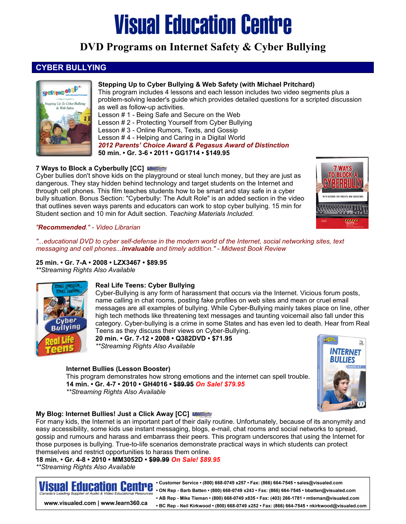## **DVD Programs on Internet Safety & Cyber Bullying**

## **CYBER BULLYING**



## **Stepping Up to Cyber Bullying & Web Safety (with Michael Pritchard)**

This program includes 4 lessons and each lesson includes two video segments plus a problem-solving leader's guide which provides detailed questions for a scripted discussion as well as follow-up activities.

Lesson # 1 - Being Safe and Secure on the Web Lesson # 2 - Protecting Yourself from Cyber Bullying Lesson # 3 - Online Rumors, Texts, and Gossip Lesson # 4 - Helping and Caring in a Digital World *2012 Parents' Choice Award & Pegasus Award of Distinction*  **50 min. • Gr. 3-6 • 2011 • GG1714 • \$149.95** 

## **7 Ways to Block a Cyberbully [CC]**

Cyber bullies don't shove kids on the playground or steal lunch money, but they are just as dangerous. They stay hidden behind technology and target students on the Internet and through cell phones. This film teaches students how to be smart and stay safe in a cyber bully situation. Bonus Section: "Cyberbully: The Adult Role" is an added section in the video that outlines seven ways parents and educators can work to stop cyber bullying. 15 min for Student section and 10 min for Adult section. *Teaching Materials Included.* 



## *"Recommended." - Video Librarian*

*"...educational DVD to cyber self-defense in the modern world of the Internet, social networking sites, text messaging and cell phones...invaluable and timely addition." - Midwest Book Review* 

**25 min. • Gr. 7-A • 2008 • LZX3467 • \$89.95**  *\*\*Streaming Rights Also Available* 



## **Real Life Teens: Cyber Bullying**

Cyber-Bullying is any form of harassment that occurs via the Internet. Vicious forum posts, name calling in chat rooms, posting fake profiles on web sites and mean or cruel email messages are all examples of bullying. While Cyber-Bullying mainly takes place on line, other high tech methods like threatening text messages and taunting voicemail also fall under this category. Cyber-bullying is a crime in some States and has even led to death. Hear from Real Teens as they discuss their views on Cyber-Bullying.

**20 min. • Gr. 7-12 • 2008 • Q382DVD • \$71.95**  *\*\*Streaming Rights Also Available* 

## **Internet Bullies (Lesson Booster)**

 This program demonstrates how strong emotions and the internet can spell trouble.  **14 min. • Gr. 4-7 • 2010 • GH4016 • \$89.95** *On Sale! \$79.95 \*\*Streaming Rights Also Available* 



## **My Blog: Internet Bullies! Just a Click Away [CC] IBNESS**

For many kids, the Internet is an important part of their daily routine. Unfortunately, because of its anonymity and easy accessibility, some kids use instant messaging, blogs, e-mail, chat rooms and social networks to spread, gossip and rumours and harass and embarrass their peers. This program underscores that using the Internet for those purposes is bullying. True-to-life scenarios demonstrate practical ways in which students can protect themselves and restrict opportunities to harass them online.

**18 min. • Gr. 4-8 • 2010 • MM3052D • \$99.99** *On Sale! \$89.95 \*\*Streaming Rights Also Available* 



www.visualed.com | www.learn360.ca

• Customer Service • (800) 668-0749 x257 • Fax: (866) 664-7545 • sales@visualed.com • ON Rep - Barb Batten • (800) 668-0749 x243 • Fax: (866) 664-7545 • bbatten@visualed.com • AB Rep - Mike Tieman • (800) 668-0749 x835 • Fax: (403) 266-1781 • mtieman@visualed.com • BC Rep - Neil Kirkwood • (800) 668-0749 x252 • Fax: (866) 664-7545 • nkirkwood@visualed.com